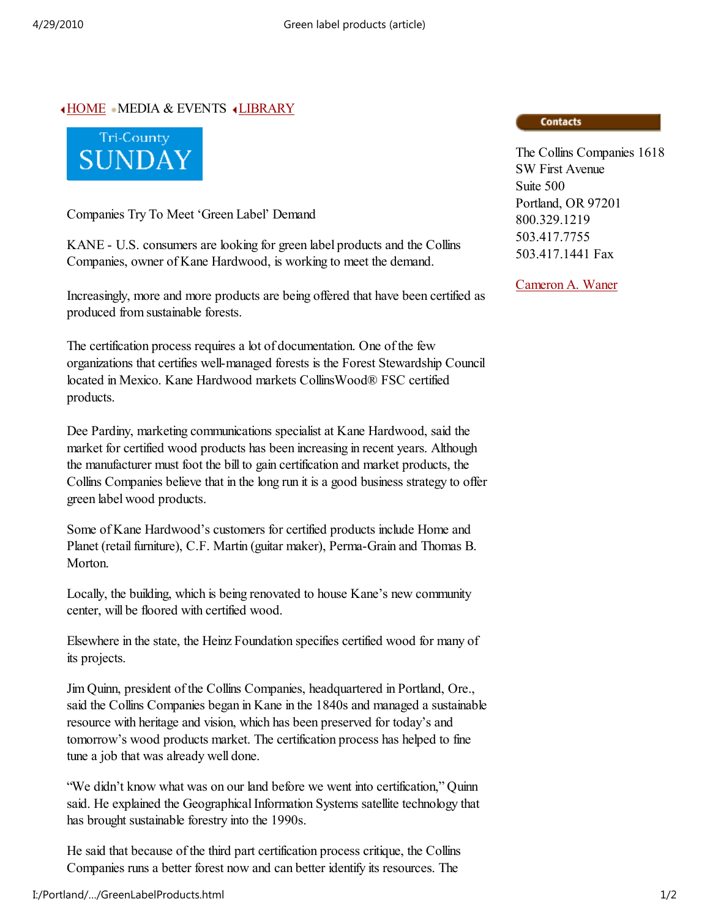## HOME MEDIA & EVENTS LIBRARY



Companies Try To Meet 'Green Label' Demand

KANE - U.S. consumers are looking for green label products and the Collins Companies, owner of Kane Hardwood, is working to meet the demand.

Increasingly, more and more products are being offered that have been certified as produced from sustainable forests.

The certification process requires a lot of documentation. One of the few organizations that certifies well-managed forests is the Forest Stewardship Council located in Mexico. Kane Hardwood markets CollinsWood® FSC certified products.

Dee Pardiny, marketing communications specialist at Kane Hardwood, said the market for certified wood products has been increasing in recent years. Although the manufacturer must foot the bill to gain certification and market products, the Collins Companies believe that in the long run it is a good business strategy to offer green label wood products.

Some of Kane Hardwood's customers for certified products include Home and Planet (retail furniture), C.F. Martin (guitar maker), Perma-Grain and Thomas B. **Morton** 

Locally, the building, which is being renovated to house Kane's new community center, will be floored with certified wood.

Elsewhere in the state, the Heinz Foundation specifies certified wood for many of its projects.

Jim Quinn, president of the Collins Companies, headquartered in Portland, Ore., said the Collins Companies began in Kane in the 1840s and managed a sustainable resource with heritage and vision, which has been preserved for today's and tomorrow's wood products market. The certification process has helped to fine tune a job that was already well done.

"We didn't know what was on our land before we went into certification," Quinn said. He explained the Geographical Information Systems satellite technology that has brought sustainable forestry into the 1990s.

He said that because of the third part certification process critique, the Collins Companies runs a better forest now and can better identify its resources. The

## **Contacts**

The Collins Companies 1618 SW First Avenue Suite 500 Portland, OR 97201 800.329.1219 503.417.7755 503.417.1441 Fax

Cameron A. Waner